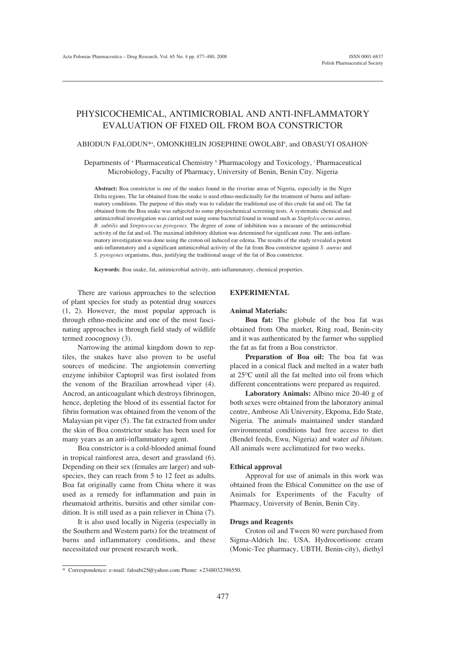# PHYSICOCHEMICAL, ANTIMICROBIAL AND ANTI-INFLAMMATORY EVALUATION OF FIXED OIL FROM BOA CONSTRICTOR

#### ABIODUN FALODUN\*ª, OMONKHELIN JOSEPHINE OWOLABI<sup>b</sup>, and OBASUYI OSAHON<sup>c</sup>

Departments of <sup>a</sup> Pharmaceutical Chemistry <sup>b</sup> Pharmacology and Toxicology, <sup>c</sup> Pharmaceutical Microbiology, Faculty of Pharmacy, University of Benin, Benin City. Nigeria

**Abstract:** Boa constrictor is one of the snakes found in the riverine areas of Nigeria, especially in the Niger Delta regions. The fat obtained from the snake is used ethno-medicinally for the treatment of burns and inflammatory conditions. The purpose of this study was to validate the traditional use of this crude fat and oil. The fat obtained from the Boa snake was subjected to some physiochemical screening tests. A systematic chemical and antimicrobial investigation was carried out using some bacterial found in wound such as *Staphylococcus aureus, B. subtilis* and *Streptococcus pyrogenes.* The degree of zone of inhibition was a measure of the antimicrobial activity of the fat and oil. The maximal inhibitory dilution was determined for significant zone. The anti-inflammatory investigation was done using the croton oil induced ear edema. The results of the study revealed a potent anti-inflammatory and a significant antimicrobial activity of the fat from Boa constrictor against *S. aureus* and *S. pyrogenes* organisms, thus, justifying the traditional usage of the fat of Boa constrictor.

**Keywords**: Boa snake, fat, antimicrobial activity, anti-inflammatory, chemical properties.

There are various approaches to the selection of plant species for study as potential drug sources (1, 2). However, the most popular approach is through ethno-medicine and one of the most fascinating approaches is through field study of wildlife termed zoocognosy (3).

Narrowing the animal kingdom down to reptiles, the snakes have also proven to be useful sources of medicine. The angiotensin converting enzyme inhibitor Captopril was first isolated from the venom of the Brazilian arrowhead viper (4). Ancrod, an anticoagulant which destroys fibrinogen, hence, depleting the blood of its essential factor for fibrin formation was obtained from the venom of the Malaysian pit viper (5). The fat extracted from under the skin of Boa constrictor snake has been used for many years as an anti-inflammatory agent.

Boa constrictor is a cold-blooded animal found in tropical rainforest area, desert and grassland (6). Depending on their sex (females are larger) and subspecies, they can reach from 5 to 12 feet as adults. Boa fat originally came from China where it was used as a remedy for inflammation and pain in rheumatoid arthritis, bursitis and other similar condition. It is still used as a pain reliever in China (7).

It is also used locally in Nigeria (especially in the Southern and Western parts) for the treatment of burns and inflammatory conditions, and these necessitated our present research work.

## **EXPERIMENTAL**

## **Animal Materials:**

**Boa fat:** The globule of the boa fat was obtained from Oba market, Ring road, Benin-city and it was authenticated by the farmer who supplied the fat as fat from a Boa constrictor.

**Preparation of Boa oil:** The boa fat was placed in a conical flack and melted in a water bath at 25°C until all the fat melted into oil from which different concentrations were prepared as required.

**Laboratory Animals:** Albino mice 20-40 g of both sexes were obtained from the laboratory animal centre, Ambrose Ali University, Ekpoma, Edo State, Nigeria. The animals maintained under standard environmental conditions had free access to diet (Bendel feeds, Ewu, Nigeria) and water *ad libitum*. All animals were acclimatized for two weeks.

### **Ethical approval**

Approval for use of animals in this work was obtained from the Ethical Committee on the use of Animals for Experiments of the Faculty of Pharmacy, University of Benin, Benin City.

#### **Drugs and Reagents**

Croton oil and Tween 80 were purchased from Sigma-Aldrich Inc. USA. Hydrocortisone cream (Monic-Tee pharmacy, UBTH, Benin-city), diethyl

<sup>\*</sup> Correspondence: e-mail: faloabi25@yahoo.com Phone: +2348032396550.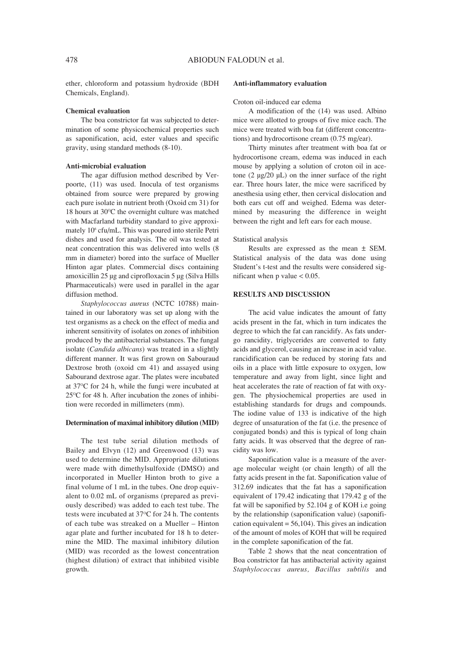ether, chloroform and potassium hydroxide (BDH Chemicals, England).

## **Chemical evaluation**

The boa constrictor fat was subjected to determination of some physicochemical properties such as saponification, acid, ester values and specific gravity, using standard methods (8-10).

## **Anti-microbial evaluation**

The agar diffusion method described by Verpoorte, (11) was used. Inocula of test organisms obtained from source were prepared by growing each pure isolate in nutrient broth (Oxoid cm 31) for 18 hours at  $30^{\circ}$ C the overnight culture was matched with Macfarland turbidity standard to give approximately 106 cfu/mL. This was poured into sterile Petri dishes and used for analysis. The oil was tested at neat concentration this was delivered into wells (8 mm in diameter) bored into the surface of Mueller Hinton agar plates. Commercial discs containing amoxicillin 25 µg and ciprofloxacin 5 µg (Silva Hills Pharmaceuticals) were used in parallel in the agar diffusion method.

*Staphylococcus aureus* (NCTC 10788) maintained in our laboratory was set up along with the test organisms as a check on the effect of media and inherent sensitivity of isolates on zones of inhibition produced by the antibacterial substances. The fungal isolate (*Candida albicans*) was treated in a slightly different manner. It was first grown on Sabouraud Dextrose broth (oxoid cm 41) and assayed using Sabourand dextrose agar. The plates were incubated at 37°C for 24 h, while the fungi were incubated at  $25^{\circ}$ C for 48 h. After incubation the zones of inhibition were recorded in millimeters (mm).

# **Determination of maximal inhibitory dilution (MID)**

The test tube serial dilution methods of Bailey and Elvyn (12) and Greenwood (13) was used to determine the MID. Appropriate dilutions were made with dimethylsulfoxide (DMSO) and incorporated in Mueller Hinton broth to give a final volume of 1 mL in the tubes. One drop equivalent to 0.02 mL of organisms (prepared as previously described) was added to each test tube. The tests were incubated at  $37^{\circ}$ C for 24 h. The contents of each tube was streaked on a Mueller – Hinton agar plate and further incubated for 18 h to determine the MID. The maximal inhibitory dilution (MID) was recorded as the lowest concentration (highest dilution) of extract that inhibited visible growth.

## **Anti-inflammatory evaluation**

Croton oil-induced ear edema

A modification of the (14) was used. Albino mice were allotted to groups of five mice each. The mice were treated with boa fat (different concentrations) and hydrocortisone cream (0.75 mg/ear).

Thirty minutes after treatment with boa fat or hydrocortisone cream, edema was induced in each mouse by applying a solution of croton oil in acetone (2 µg/20 µL) on the inner surface of the right ear. Three hours later, the mice were sacrificed by anesthesia using ether, then cervical dislocation and both ears cut off and weighed. Edema was determined by measuring the difference in weight between the right and left ears for each mouse.

#### Statistical analysis

Results are expressed as the mean ± SEM. Statistical analysis of the data was done using Student's t-test and the results were considered significant when  $p$  value  $< 0.05$ .

# **RESULTS AND DISCUSSION**

The acid value indicates the amount of fatty acids present in the fat, which in turn indicates the degree to which the fat can rancidify. As fats undergo rancidity, triglycerides are converted to fatty acids and glycerol, causing an increase in acid value. rancidification can be reduced by storing fats and oils in a place with little exposure to oxygen, low temperature and away from light, since light and heat accelerates the rate of reaction of fat with oxygen. The physiochemical properties are used in establishing standards for drugs and compounds. The iodine value of 133 is indicative of the high degree of unsaturation of the fat (i.e. the presence of conjugated bonds) and this is typical of long chain fatty acids. It was observed that the degree of rancidity was low.

Saponification value is a measure of the average molecular weight (or chain length) of all the fatty acids present in the fat. Saponification value of 312.69 indicates that the fat has a saponification equivalent of 179.42 indicating that 179.42 g of the fat will be saponified by 52.104 g of KOH i.e going by the relationship (saponification value) (saponification equivalent  $= 56,104$ ). This gives an indication of the amount of moles of KOH that will be required in the complete saponification of the fat.

Table 2 shows that the neat concentration of Boa constrictor fat has antibacterial activity against *Staphylococcus aureus, Bacillus subtilis* and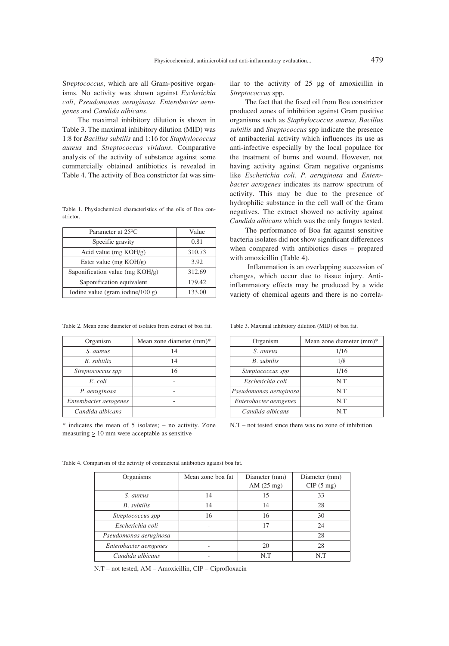S*treptococcus*, which are all Gram-positive organisms. No activity was shown against *Escherichia coli, Pseudomonas aeruginosa, Enterobacter aerogenes* and *Candida albicans*.

The maximal inhibitory dilution is shown in Table 3. The maximal inhibitory dilution (MID) was 1:8 for *Bacillus subtilis* and 1:16 for *Staphylococcus aureus* and *Streptococcus viridans*. Comparative analysis of the activity of substance against some commercially obtained antibiotics is revealed in Table 4. The activity of Boa constrictor fat was sim-

Table 1. Physiochemical characteristics of the oils of Boa constrictor.

| Parameter at $25^{\circ}$ C      | Value  |
|----------------------------------|--------|
| Specific gravity                 | 0.81   |
| Acid value (mg $KOH/g$ )         | 310.73 |
| Ester value (mg $KOH/g$ )        | 3.92   |
| Saponification value (mg KOH/g)  | 312.69 |
| Saponification equivalent        | 179.42 |
| Iodine value (gram iodine/100 g) | 133.00 |

Table 2. Mean zone diameter of isolates from extract of boa fat.

| Organism               | Mean zone diameter (mm)* |
|------------------------|--------------------------|
| S. aureus              | 14                       |
| B. subtilis            | 14                       |
| Streptococcus spp      | 16                       |
| E. coli                |                          |
| P. aeruginosa          |                          |
| Enterobacter aerogenes |                          |
| Candida albicans       |                          |

 $*$  indicates the mean of 5 isolates;  $-$  no activity. Zone measuring  $\geq 10$  mm were acceptable as sensitive

ilar to the activity of 25 µg of amoxicillin in *Streptococcus* spp.

The fact that the fixed oil from Boa constrictor produced zones of inhibition against Gram positive organisms such as *Staphylococcus aureus, Bacillus subtilis* and *Streptococcus* spp indicate the presence of antibacterial activity which influences its use as anti-infective especially by the local populace for the treatment of burns and wound. However, not having activity against Gram negative organisms like *Escherichia coli, P. aeruginosa* and *Enterobacter aerogenes* indicates its narrow spectrum of activity. This may be due to the presence of hydrophilic substance in the cell wall of the Gram negatives. The extract showed no activity against *Candida albicans* which was the only fungus tested.

The performance of Boa fat against sensitive bacteria isolates did not show significant differences when compared with antibiotics discs  $-$  prepared with amoxicillin (Table 4).

Inflammation is an overlapping succession of changes, which occur due to tissue injury. Antiinflammatory effects may be produced by a wide variety of chemical agents and there is no correla-

Table 3. Maximal inhibitory dilution (MID) of boa fat.

| Organism                 | Mean zone diameter (mm)* |  |  |
|--------------------------|--------------------------|--|--|
| S. aureus                | 1/16                     |  |  |
| B. subtilis              | 1/8                      |  |  |
| <i>Streptococcus spp</i> | 1/16                     |  |  |
| Escherichia coli         | N.T                      |  |  |
| Pseudomonas aeruginosa   | N.T                      |  |  |
| Enterobacter aerogenes   | N.T                      |  |  |
| Candida albicans         | N.T                      |  |  |

 $N.T$  – not tested since there was no zone of inhibition.

Table 4. Comparism of the activity of commercial antibiotics against boa fat.

| Organisms              | Mean zone boa fat | Diameter (mm)<br>AM $(25 \text{ mg})$ | Diameter (mm)<br>CIP(5mg) |
|------------------------|-------------------|---------------------------------------|---------------------------|
| S. aureus              | 14                | 15                                    | 33                        |
| B. subtilis            | 14                | 14                                    | 28                        |
| Streptococcus spp      | 16                | 16                                    | 30                        |
| Escherichia coli       |                   | 17                                    | 24                        |
| Pseudomonas aeruginosa |                   |                                       | 28                        |
| Enterobacter aerogenes |                   | 20                                    | 28                        |
| Candida albicans       |                   | N.T                                   | N.T                       |

 $N.T - not tested, AM - Amoxicillin, CIP - Ciproflox (C)$